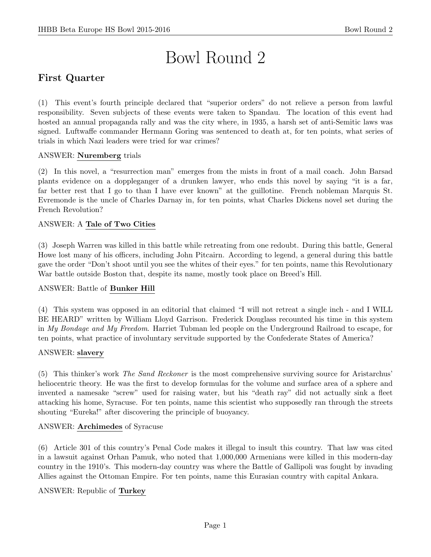# Bowl Round 2

# First Quarter

(1) This event's fourth principle declared that "superior orders" do not relieve a person from lawful responsibility. Seven subjects of these events were taken to Spandau. The location of this event had hosted an annual propaganda rally and was the city where, in 1935, a harsh set of anti-Semitic laws was signed. Luftwaffe commander Hermann Goring was sentenced to death at, for ten points, what series of trials in which Nazi leaders were tried for war crimes?

#### ANSWER: Nuremberg trials

(2) In this novel, a "resurrection man" emerges from the mists in front of a mail coach. John Barsad plants evidence on a doppleganger of a drunken lawyer, who ends this novel by saying "it is a far, far better rest that I go to than I have ever known" at the guillotine. French nobleman Marquis St. Evremonde is the uncle of Charles Darnay in, for ten points, what Charles Dickens novel set during the French Revolution?

#### ANSWER: A Tale of Two Cities

(3) Joseph Warren was killed in this battle while retreating from one redoubt. During this battle, General Howe lost many of his officers, including John Pitcairn. According to legend, a general during this battle gave the order "Don't shoot until you see the whites of their eyes." for ten points, name this Revolutionary War battle outside Boston that, despite its name, mostly took place on Breed's Hill.

#### ANSWER: Battle of Bunker Hill

(4) This system was opposed in an editorial that claimed "I will not retreat a single inch - and I WILL BE HEARD" written by William Lloyd Garrison. Frederick Douglass recounted his time in this system in My Bondage and My Freedom. Harriet Tubman led people on the Underground Railroad to escape, for ten points, what practice of involuntary servitude supported by the Confederate States of America?

#### ANSWER: slavery

(5) This thinker's work The Sand Reckoner is the most comprehensive surviving source for Aristarchus' heliocentric theory. He was the first to develop formulas for the volume and surface area of a sphere and invented a namesake "screw" used for raising water, but his "death ray" did not actually sink a fleet attacking his home, Syracuse. For ten points, name this scientist who supposedly ran through the streets shouting "Eureka!" after discovering the principle of buoyancy.

#### ANSWER: Archimedes of Syracuse

(6) Article 301 of this country's Penal Code makes it illegal to insult this country. That law was cited in a lawsuit against Orhan Pamuk, who noted that 1,000,000 Armenians were killed in this modern-day country in the 1910's. This modern-day country was where the Battle of Gallipoli was fought by invading Allies against the Ottoman Empire. For ten points, name this Eurasian country with capital Ankara.

#### ANSWER: Republic of Turkey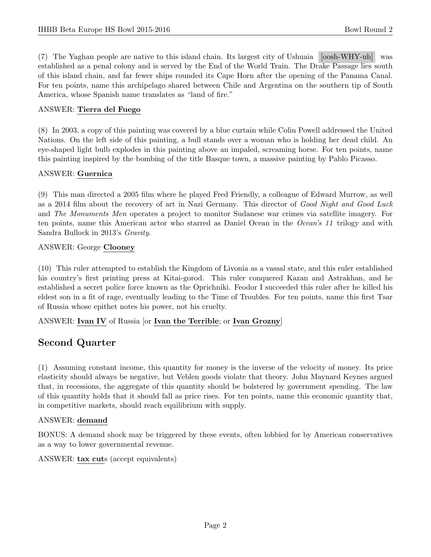(7) The Yaghan people are native to this island chain. Its largest city of Ushuaia [oosh-WHY-uh] was established as a penal colony and is served by the End of the World Train. The Drake Passage lies south of this island chain, and far fewer ships rounded its Cape Horn after the opening of the Panama Canal. For ten points, name this archipelago shared between Chile and Argentina on the southern tip of South America, whose Spanish name translates as "land of fire."

#### ANSWER: Tierra del Fuego

(8) In 2003, a copy of this painting was covered by a blue curtain while Colin Powell addressed the United Nations. On the left side of this painting, a bull stands over a woman who is holding her dead child. An eye-shaped light bulb explodes in this painting above an impaled, screaming horse. For ten points, name this painting inspired by the bombing of the title Basque town, a massive painting by Pablo Picasso.

#### ANSWER: Guernica

(9) This man directed a 2005 film where he played Fred Friendly, a colleague of Edward Murrow, as well as a 2014 film about the recovery of art in Nazi Germany. This director of Good Night and Good Luck and The Monuments Men operates a project to monitor Sudanese war crimes via satellite imagery. For ten points, name this American actor who starred as Daniel Ocean in the Ocean's 11 trilogy and with Sandra Bullock in 2013's Gravity.

#### ANSWER: George Clooney

(10) This ruler attempted to establish the Kingdom of Livonia as a vassal state, and this ruler established his country's first printing press at Kitai-gorod. This ruler conquered Kazan and Astrakhan, and he established a secret police force known as the Oprichniki. Feodor I succeeded this ruler after he killed his eldest son in a fit of rage, eventually leading to the Time of Troubles. For ten points, name this first Tsar of Russia whose epithet notes his power, not his cruelty.

ANSWER: Ivan IV of Russia [or Ivan the Terrible; or Ivan Grozny]

## Second Quarter

(1) Assuming constant income, this quantity for money is the inverse of the velocity of money. Its price elasticity should always be negative, but Veblen goods violate that theory. John Maynard Keynes argued that, in recessions, the aggregate of this quantity should be bolstered by government spending. The law of this quantity holds that it should fall as price rises. For ten points, name this economic quantity that, in competitive markets, should reach equilibrium with supply.

#### ANSWER: demand

BONUS: A demand shock may be triggered by these events, often lobbied for by American conservatives as a way to lower governmental revenue.

ANSWER: tax cuts (accept equivalents)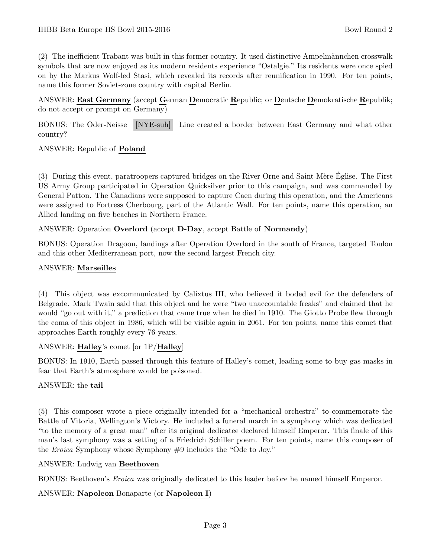(2) The inefficient Trabant was built in this former country. It used distinctive Ampelm¨annchen crosswalk symbols that are now enjoyed as its modern residents experience "Ostalgie." Its residents were once spied on by the Markus Wolf-led Stasi, which revealed its records after reunification in 1990. For ten points, name this former Soviet-zone country with capital Berlin.

ANSWER: East Germany (accept German Democratic Republic; or Deutsche Demokratische Republik; do not accept or prompt on Germany)

BONUS: The Oder-Neisse [NYE-suh] Line created a border between East Germany and what other country?

ANSWER: Republic of Poland

(3) During this event, paratroopers captured bridges on the River Orne and Saint-M`ere-Eglise. The First ´ US Army Group participated in Operation Quicksilver prior to this campaign, and was commanded by General Patton. The Canadians were supposed to capture Caen during this operation, and the Americans were assigned to Fortress Cherbourg, part of the Atlantic Wall. For ten points, name this operation, an Allied landing on five beaches in Northern France.

#### ANSWER: Operation Overlord (accept D-Day, accept Battle of Normandy)

BONUS: Operation Dragoon, landings after Operation Overlord in the south of France, targeted Toulon and this other Mediterranean port, now the second largest French city.

#### ANSWER: Marseilles

(4) This object was excommunicated by Calixtus III, who believed it boded evil for the defenders of Belgrade. Mark Twain said that this object and he were "two unaccountable freaks" and claimed that he would "go out with it," a prediction that came true when he died in 1910. The Giotto Probe flew through the coma of this object in 1986, which will be visible again in 2061. For ten points, name this comet that approaches Earth roughly every 76 years.

#### ANSWER: Halley's comet [or 1P/Halley]

BONUS: In 1910, Earth passed through this feature of Halley's comet, leading some to buy gas masks in fear that Earth's atmosphere would be poisoned.

#### ANSWER: the tail

(5) This composer wrote a piece originally intended for a "mechanical orchestra" to commemorate the Battle of Vitoria, Wellington's Victory. He included a funeral march in a symphony which was dedicated "to the memory of a great man" after its original dedicatee declared himself Emperor. This finale of this man's last symphony was a setting of a Friedrich Schiller poem. For ten points, name this composer of the Eroica Symphony whose Symphony #9 includes the "Ode to Joy."

#### ANSWER: Ludwig van Beethoven

BONUS: Beethoven's Eroica was originally dedicated to this leader before he named himself Emperor.

#### ANSWER: Napoleon Bonaparte (or Napoleon I)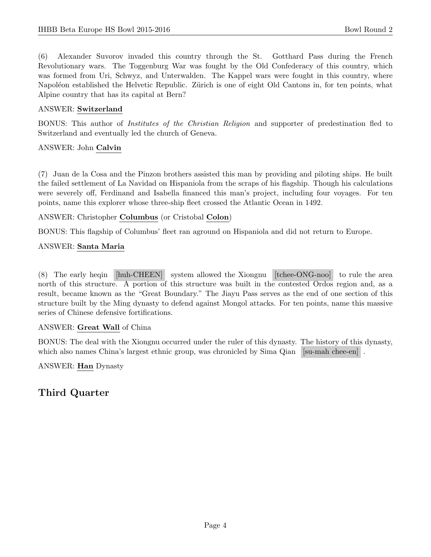(6) Alexander Suvorov invaded this country through the St. Gotthard Pass during the French Revolutionary wars. The Toggenburg War was fought by the Old Confederacy of this country, which was formed from Uri, Schwyz, and Unterwalden. The Kappel wars were fought in this country, where Napoléon established the Helvetic Republic. Zürich is one of eight Old Cantons in, for ten points, what Alpine country that has its capital at Bern?

### ANSWER: Switzerland

BONUS: This author of Institutes of the Christian Religion and supporter of predestination fled to Switzerland and eventually led the church of Geneva.

#### ANSWER: John Calvin

(7) Juan de la Cosa and the Pinzon brothers assisted this man by providing and piloting ships. He built the failed settlement of La Navidad on Hispaniola from the scraps of his flagship. Though his calculations were severely off, Ferdinand and Isabella financed this man's project, including four voyages. For ten points, name this explorer whose three-ship fleet crossed the Atlantic Ocean in 1492.

ANSWER: Christopher Columbus (or Cristobal Colon)

BONUS: This flagship of Columbus' fleet ran aground on Hispaniola and did not return to Europe.

## ANSWER: Santa Maria

(8) The early heqin [huh-CHEEN] system allowed the Xiongnu [tchee-ONG-noo] to rule the area north of this structure. A portion of this structure was built in the contested Ordos region and, as a result, became known as the "Great Boundary." The Jiayu Pass serves as the end of one section of this structure built by the Ming dynasty to defend against Mongol attacks. For ten points, name this massive series of Chinese defensive fortifications.

#### ANSWER: Great Wall of China

BONUS: The deal with the Xiongnu occurred under the ruler of this dynasty. The history of this dynasty, which also names China's largest ethnic group, was chronicled by Sima Qian [su-mah chee-en].

#### ANSWER: Han Dynasty

# Third Quarter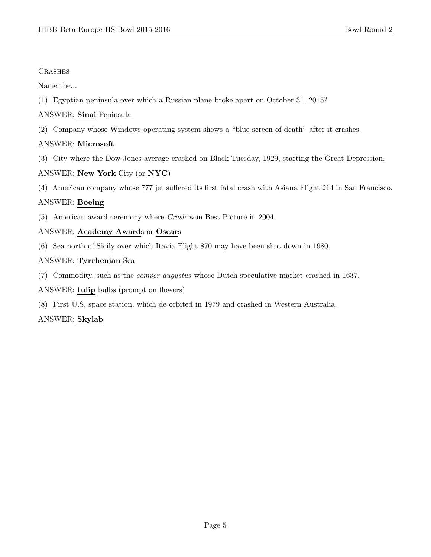## **CRASHES**

Name the...

- (1) Egyptian peninsula over which a Russian plane broke apart on October 31, 2015?
- ANSWER: Sinai Peninsula
- (2) Company whose Windows operating system shows a "blue screen of death" after it crashes.

## ANSWER: Microsoft

(3) City where the Dow Jones average crashed on Black Tuesday, 1929, starting the Great Depression.

## ANSWER: New York City (or NYC)

(4) American company whose 777 jet suffered its first fatal crash with Asiana Flight 214 in San Francisco.

## ANSWER: Boeing

(5) American award ceremony where Crash won Best Picture in 2004.

## ANSWER: Academy Awards or Oscars

(6) Sea north of Sicily over which Itavia Flight 870 may have been shot down in 1980.

## ANSWER: Tyrrhenian Sea

(7) Commodity, such as the semper augustus whose Dutch speculative market crashed in 1637.

ANSWER: tulip bulbs (prompt on flowers)

(8) First U.S. space station, which de-orbited in 1979 and crashed in Western Australia.

## ANSWER: Skylab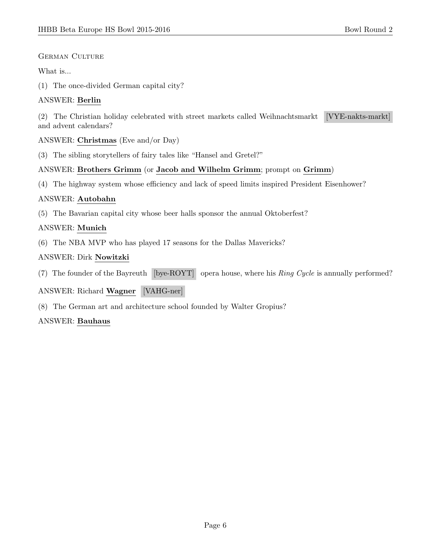### GERMAN CULTURE

## What is...

(1) The once-divided German capital city?

## ANSWER: Berlin

(2) The Christian holiday celebrated with street markets called Weihnachtsmarkt [VYE-nakts-markt] and advent calendars?

### ANSWER: Christmas (Eve and/or Day)

(3) The sibling storytellers of fairy tales like "Hansel and Gretel?"

## ANSWER: Brothers Grimm (or Jacob and Wilhelm Grimm; prompt on Grimm)

(4) The highway system whose efficiency and lack of speed limits inspired President Eisenhower?

## ANSWER: Autobahn

(5) The Bavarian capital city whose beer halls sponsor the annual Oktoberfest?

## ANSWER: Munich

(6) The NBA MVP who has played 17 seasons for the Dallas Mavericks?

## ANSWER: Dirk Nowitzki

(7) The founder of the Bayreuth [bye-ROYT] opera house, where his Ring Cycle is annually performed?

## ANSWER: Richard Wagner [VAHG-ner]

(8) The German art and architecture school founded by Walter Gropius?

## ANSWER: Bauhaus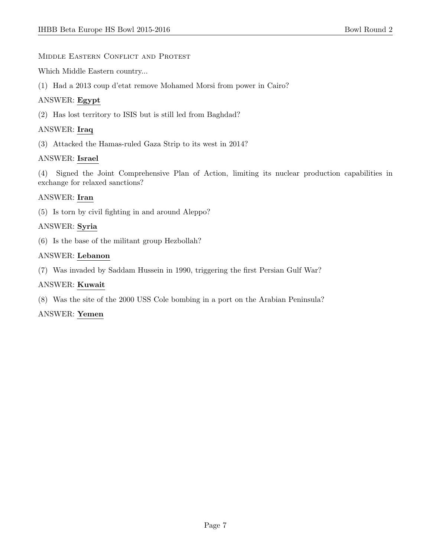### MIDDLE EASTERN CONFLICT AND PROTEST

Which Middle Eastern country...

(1) Had a 2013 coup d'etat remove Mohamed Morsi from power in Cairo?

## ANSWER: Egypt

(2) Has lost territory to ISIS but is still led from Baghdad?

## ANSWER: Iraq

(3) Attacked the Hamas-ruled Gaza Strip to its west in 2014?

## ANSWER: Israel

(4) Signed the Joint Comprehensive Plan of Action, limiting its nuclear production capabilities in exchange for relaxed sanctions?

## ANSWER: Iran

(5) Is torn by civil fighting in and around Aleppo?

## ANSWER: Syria

(6) Is the base of the militant group Hezbollah?

## ANSWER: Lebanon

(7) Was invaded by Saddam Hussein in 1990, triggering the first Persian Gulf War?

## ANSWER: Kuwait

(8) Was the site of the 2000 USS Cole bombing in a port on the Arabian Peninsula?

## ANSWER: Yemen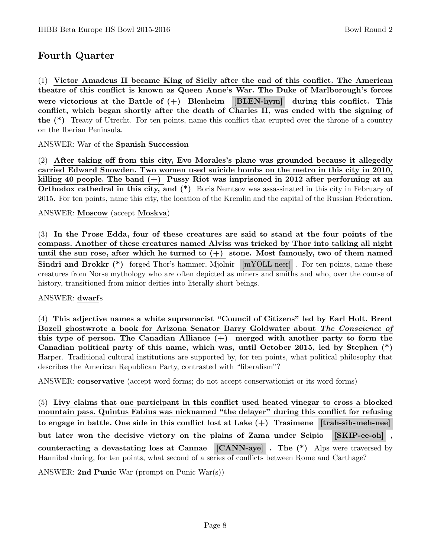# Fourth Quarter

(1) Victor Amadeus II became King of Sicily after the end of this conflict. The American theatre of this conflict is known as Queen Anne's War. The Duke of Marlborough's forces were victorious at the Battle of  $(+)$  Blenheim [BLEN-hym] during this conflict. This conflict, which began shortly after the death of Charles II, was ended with the signing of the (\*) Treaty of Utrecht. For ten points, name this conflict that erupted over the throne of a country on the Iberian Peninsula.

ANSWER: War of the Spanish Succession

(2) After taking off from this city, Evo Morales's plane was grounded because it allegedly carried Edward Snowden. Two women used suicide bombs on the metro in this city in 2010, killing 40 people. The band  $(+)$  Pussy Riot was imprisoned in 2012 after performing at an Orthodox cathedral in this city, and  $(*)$  Boris Nemtsov was assassinated in this city in February of 2015. For ten points, name this city, the location of the Kremlin and the capital of the Russian Federation.

#### ANSWER: Moscow (accept Moskva)

(3) In the Prose Edda, four of these creatures are said to stand at the four points of the compass. Another of these creatures named Alviss was tricked by Thor into talking all night until the sun rose, after which he turned to  $(+)$  stone. Most famously, two of them named Sindri and Brokkr (\*) forged Thor's hammer, Mjolnir [mYOLL-neer]. For ten points, name these creatures from Norse mythology who are often depicted as miners and smiths and who, over the course of history, transitioned from minor deities into literally short beings.

#### ANSWER: dwarfs

(4) This adjective names a white supremacist "Council of Citizens" led by Earl Holt. Brent Bozell ghostwrote a book for Arizona Senator Barry Goldwater about The Conscience of this type of person. The Canadian Alliance  $(+)$  merged with another party to form the Canadian political party of this name, which was, until October 2015, led by Stephen (\*) Harper. Traditional cultural institutions are supported by, for ten points, what political philosophy that describes the American Republican Party, contrasted with "liberalism"?

ANSWER: conservative (accept word forms; do not accept conservationist or its word forms)

(5) Livy claims that one participant in this conflict used heated vinegar to cross a blocked mountain pass. Quintus Fabius was nicknamed "the delayer" during this conflict for refusing to engage in battle. One side in this conflict lost at Lake  $(+)$  Trasimene  $[$ trah-sih-meh-nee $]$ but later won the decisive victory on the plains of Zama under Scipio [SKIP-ee-oh] , counteracting a devastating loss at Cannae [CANN-aye] . The (\*) Alps were traversed by Hannibal during, for ten points, what second of a series of conflicts between Rome and Carthage?

ANSWER: 2nd Punic War (prompt on Punic War(s))